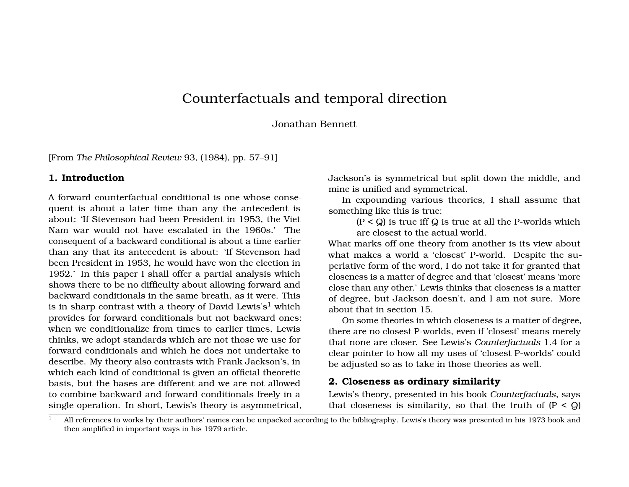# Counterfactuals and temporal direction

# Jonathan Bennett

[From *The Philosophical Review* 93, (1984), pp. 57–91]

#### **1. Introduction**

A forward counterfactual conditional is one whose consequent is about a later time than any the antecedent is about: 'If Stevenson had been President in 1953, the Viet Nam war would not have escalated in the 1960s.' The consequent of a backward conditional is about a time earlier than any that its antecedent is about: 'If Stevenson had been President in 1953, he would have won the election in 1952.' In this paper I shall offer a partial analysis which shows there to be no difficulty about allowing forward and backward conditionals in the same breath, as it were. This is in sharp contrast with a theory of David Lewis's<sup>1</sup> which provides for forward conditionals but not backward ones: when we conditionalize from times to earlier times, Lewis thinks, we adopt standards which are not those we use for forward conditionals and which he does not undertake to describe. My theory also contrasts with Frank Jackson's, in which each kind of conditional is given an official theoretic basis, but the bases are different and we are not allowed to combine backward and forward conditionals freely in a single operation. In short, Lewis's theory is asymmetrical, Jackson's is symmetrical but split down the middle, and mine is unified and symmetrical.

In expounding various theories, I shall assume that something like this is true:

 $(P < Q)$  is true iff  $Q$  is true at all the P-worlds which are closest to the actual world.

What marks off one theory from another is its view about what makes a world a 'closest' P-world. Despite the superlative form of the word, I do not take it for granted that closeness is a matter of degree and that 'closest' means 'more close than any other.' Lewis thinks that closeness is a matter of degree, but Jackson doesn't, and I am not sure. More about that in section 15.

On some theories in which closeness is a matter of degree, there are no closest P-worlds, even if 'closest' means merely that none are closer. See Lewis's *Counterfactuals* 1.4 for a clear pointer to how all my uses of 'closest P-worlds' could be adjusted so as to take in those theories as well.

#### **2. Closeness as ordinary similarity**

Lewis's theory, presented in his book *Counterfactuals*, says that closeness is similarity, so that the truth of  $(P < Q)$ 

<sup>1</sup> All references to works by their authors' names can be unpacked according to the bibliography. Lewis's theory was presented in his 1973 book and then amplified in important ways in his 1979 article.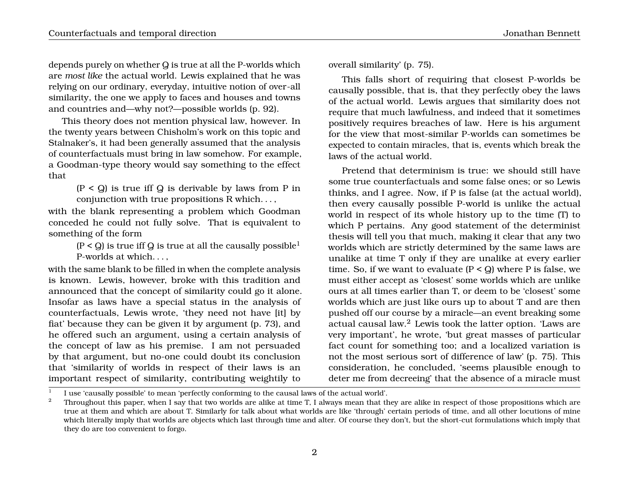depends purely on whether Q is true at all the P-worlds which are *most like* the actual world. Lewis explained that he was relying on our ordinary, everyday, intuitive notion of over-all similarity, the one we apply to faces and houses and towns and countries and—why not?—possible worlds (p. 92).

This theory does not mention physical law, however. In the twenty years between Chisholm's work on this topic and Stalnaker's, it had been generally assumed that the analysis of counterfactuals must bring in law somehow. For example, a Goodman-type theory would say something to the effect that

> $(P < Q)$  is true iff Q is derivable by laws from P in conjunction with true propositions R which. . . ,

with the blank representing a problem which Goodman conceded he could not fully solve. That is equivalent to something of the form

> $(P < Q)$  is true iff Q is true at all the causally possible<sup>1</sup> P-worlds at which. . . ,

with the same blank to be filled in when the complete analysis is known. Lewis, however, broke with this tradition and announced that the concept of similarity could go it alone. Insofar as laws have a special status in the analysis of counterfactuals, Lewis wrote, 'they need not have [it] by fiat' because they can be given it by argument (p. 73), and he offered such an argument, using a certain analysis of the concept of law as his premise. I am not persuaded by that argument, but no-one could doubt its conclusion that 'similarity of worlds in respect of their laws is an important respect of similarity, contributing weightily to

overall similarity' (p. 75).

This falls short of requiring that closest P-worlds be causally possible, that is, that they perfectly obey the laws of the actual world. Lewis argues that similarity does not require that much lawfulness, and indeed that it sometimes positively requires breaches of law. Here is his argument for the view that most-similar P-worlds can sometimes be expected to contain miracles, that is, events which break the laws of the actual world.

Pretend that determinism is true: we should still have some true counterfactuals and some false ones; or so Lewis thinks, and I agree. Now, if P is false (at the actual world), then every causally possible P-world is unlike the actual world in respect of its whole history up to the time (T) to which P pertains. Any good statement of the determinist thesis will tell you that much, making it clear that any two worlds which are strictly determined by the same laws are unalike at time T only if they are unalike at every earlier time. So, if we want to evaluate  $(P < Q)$  where P is false, we must either accept as 'closest' some worlds which are unlike ours at all times earlier than T, or deem to be 'closest' some worlds which are just like ours up to about T and are then pushed off our course by a miracle—an event breaking some actual causal law.<sup>2</sup> Lewis took the latter option. 'Laws are very important', he wrote, 'but great masses of particular fact count for something too; and a localized variation is not the most serious sort of difference of law' (p. 75). This consideration, he concluded, 'seems plausible enough to deter me from decreeing' that the absence of a miracle must

<sup>1</sup> I use 'causally possible' to mean 'perfectly conforming to the causal laws of the actual world'.

<sup>&</sup>lt;sup>2</sup> Throughout this paper, when I say that two worlds are alike at time T, I always mean that they are alike in respect of those propositions which are true at them and which are about T. Similarly for talk about what worlds are like 'through' certain periods of time, and all other locutions of mine which literally imply that worlds are objects which last through time and alter. Of course they don't, but the short-cut formulations which imply that they do are too convenient to forgo.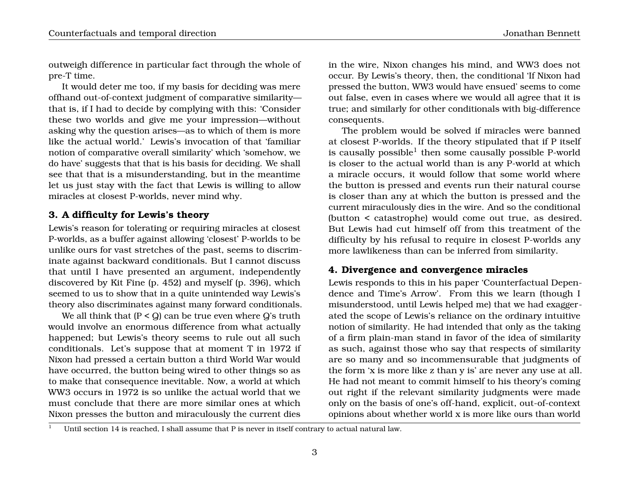outweigh difference in particular fact through the whole of pre-T time.

It would deter me too, if my basis for deciding was mere offhand out-of-context judgment of comparative similarity that is, if I had to decide by complying with this: 'Consider these two worlds and give me your impression—without asking why the question arises—as to which of them is more like the actual world.' Lewis's invocation of that 'familiar notion of comparative overall similarity' which 'somehow, we do have' suggests that that is his basis for deciding. We shall see that that is a misunderstanding, but in the meantime let us just stay with the fact that Lewis is willing to allow miracles at closest P-worlds, never mind why.

## **3. A difficulty for Lewis's theory**

Lewis's reason for tolerating or requiring miracles at closest P-worlds, as a buffer against allowing 'closest' P-worlds to be unlike ours for vast stretches of the past, seems to discriminate against backward conditionals. But I cannot discuss that until I have presented an argument, independently discovered by Kit Fine (p. 452) and myself (p. 396), which seemed to us to show that in a quite unintended way Lewis's theory also discriminates against many forward conditionals.

We all think that  $(P < Q)$  can be true even where  $Q$ 's truth would involve an enormous difference from what actually happened; but Lewis's theory seems to rule out all such conditionals. Let's suppose that at moment T in 1972 if Nixon had pressed a certain button a third World War would have occurred, the button being wired to other things so as to make that consequence inevitable. Now, a world at which WW3 occurs in 1972 is so unlike the actual world that we must conclude that there are more similar ones at which Nixon presses the button and miraculously the current dies

in the wire, Nixon changes his mind, and WW3 does not occur. By Lewis's theory, then, the conditional 'If Nixon had pressed the button, WW3 would have ensued' seems to come out false, even in cases where we would all agree that it is true; and similarly for other conditionals with big-difference consequents.

The problem would be solved if miracles were banned at closest P-worlds. If the theory stipulated that if P itself is causally possible $^{\rm l}$  then some causally possible P-world is closer to the actual world than is any P-world at which a miracle occurs, it would follow that some world where the button is pressed and events run their natural course is closer than any at which the button is pressed and the current miraculously dies in the wire. And so the conditional (button < catastrophe) would come out true, as desired. But Lewis had cut himself off from this treatment of the difficulty by his refusal to require in closest P-worlds any more lawlikeness than can be inferred from similarity.

## **4. Divergence and convergence miracles**

Lewis responds to this in his paper 'Counterfactual Dependence and Time's Arrow'. From this we learn (though I misunderstood, until Lewis helped me) that we had exaggerated the scope of Lewis's reliance on the ordinary intuitive notion of similarity. He had intended that only as the taking of a firm plain-man stand in favor of the idea of similarity as such, against those who say that respects of similarity are so many and so incommensurable that judgments of the form 'x is more like z than y is' are never any use at all. He had not meant to commit himself to his theory's coming out right if the relevant similarity judgments were made only on the basis of one's off-hand, explicit, out-of-context opinions about whether world x is more like ours than world

<sup>1</sup> Until section 14 is reached, I shall assume that P is never in itself contrary to actual natural law.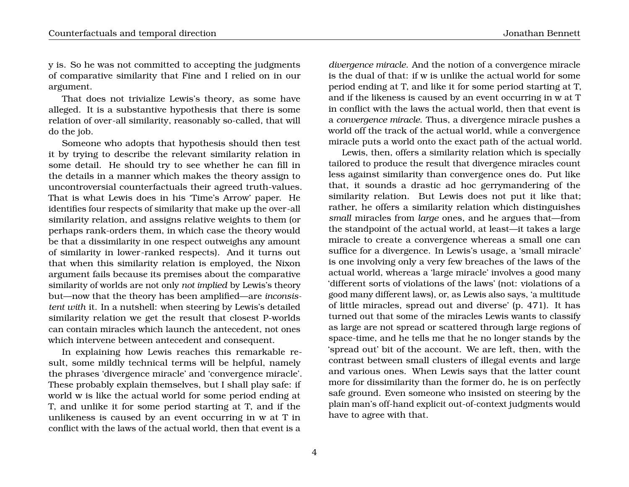y is. So he was not committed to accepting the judgments of comparative similarity that Fine and I relied on in our argument.

That does not trivialize Lewis's theory, as some have alleged. It is a substantive hypothesis that there is some relation of over-all similarity, reasonably so-called, that will do the job.

Someone who adopts that hypothesis should then test it by trying to describe the relevant similarity relation in some detail. He should try to see whether he can fill in the details in a manner which makes the theory assign to uncontroversial counterfactuals their agreed truth-values. That is what Lewis does in his 'Time's Arrow' paper. He identifies four respects of similarity that make up the over-all similarity relation, and assigns relative weights to them (or perhaps rank-orders them, in which case the theory would be that a dissimilarity in one respect outweighs any amount of similarity in lower-ranked respects). And it turns out that when this similarity relation is employed, the Nixon argument fails because its premises about the comparative similarity of worlds are not only *not implied* by Lewis's theory but—now that the theory has been amplified—are *inconsistent with* it. In a nutshell: when steering by Lewis's detailed similarity relation we get the result that closest P-worlds can contain miracles which launch the antecedent, not ones which intervene between antecedent and consequent.

In explaining how Lewis reaches this remarkable result, some mildly technical terms will be helpful, namely the phrases 'divergence miracle' and 'convergence miracle'. These probably explain themselves, but I shall play safe: if world w is like the actual world for some period ending at T, and unlike it for some period starting at T, and if the unlikeness is caused by an event occurring in w at T in conflict with the laws of the actual world, then that event is a

*divergence miracle*. And the notion of a convergence miracle is the dual of that: if w is unlike the actual world for some period ending at T, and like it for some period starting at T, and if the likeness is caused by an event occurring in w at T in conflict with the laws the actual world, then that event is a *convergence miracle*. Thus, a divergence miracle pushes a world off the track of the actual world, while a convergence miracle puts a world onto the exact path of the actual world.

Lewis, then, offers a similarity relation which is specially tailored to produce the result that divergence miracles count less against similarity than convergence ones do. Put like that, it sounds a drastic ad hoc gerrymandering of the similarity relation. But Lewis does not put it like that; rather, he offers a similarity relation which distinguishes *small* miracles from *large* ones, and he argues that—from the standpoint of the actual world, at least—it takes a large miracle to create a convergence whereas a small one can suffice for a divergence. In Lewis's usage, a 'small miracle' is one involving only a very few breaches of the laws of the actual world, whereas a 'large miracle' involves a good many 'different sorts of violations of the laws' (not: violations of a good many different laws), or, as Lewis also says, 'a multitude of little miracles, spread out and diverse' (p. 471). It has turned out that some of the miracles Lewis wants to classify as large are not spread or scattered through large regions of space-time, and he tells me that he no longer stands by the 'spread out' bit of the account. We are left, then, with the contrast between small clusters of illegal events and large and various ones. When Lewis says that the latter count more for dissimilarity than the former do, he is on perfectly safe ground. Even someone who insisted on steering by the plain man's off-hand explicit out-of-context judgments would have to agree with that.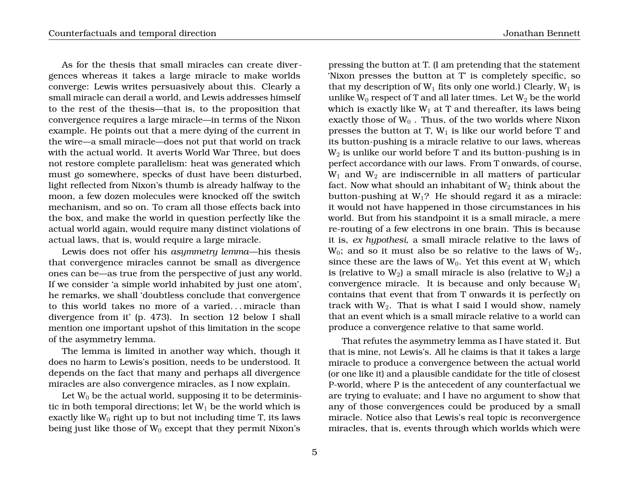As for the thesis that small miracles can create divergences whereas it takes a large miracle to make worlds converge: Lewis writes persuasively about this. Clearly a small miracle can derail a world, and Lewis addresses himself to the rest of the thesis—that is, to the proposition that convergence requires a large miracle—in terms of the Nixon example. He points out that a mere dying of the current in the wire—a small miracle—does not put that world on track with the actual world. It averts World War Three, but does not restore complete parallelism: heat was generated which must go somewhere, specks of dust have been disturbed, light reflected from Nixon's thumb is already halfway to the moon, a few dozen molecules were knocked off the switch mechanism, and so on. To cram all those effects back into the box, and make the world in question perfectly like the actual world again, would require many distinct violations of actual laws, that is, would require a large miracle.

Lewis does not offer his *asymmetry lemma*—his thesis that convergence miracles cannot be small as divergence ones can be—as true from the perspective of just any world. If we consider 'a simple world inhabited by just one atom', he remarks, we shall 'doubtless conclude that convergence to this world takes no more of a varied. . . miracle than divergence from it' (p. 473). In section 12 below I shall mention one important upshot of this limitation in the scope of the asymmetry lemma.

The lemma is limited in another way which, though it does no harm to Lewis's position, needs to be understood. It depends on the fact that many and perhaps all divergence miracles are also convergence miracles, as I now explain.

Let  $W_0$  be the actual world, supposing it to be deterministic in both temporal directions; let  $W_1$  be the world which is exactly like  $W_0$  right up to but not including time T, its laws being just like those of  $W_0$  except that they permit Nixon's

pressing the button at T. (I am pretending that the statement 'Nixon presses the button at T' is completely specific, so that my description of  $W_1$  fits only one world.) Clearly,  $W_1$  is unlike  $W_0$  respect of T and all later times. Let  $W_2$  be the world which is exactly like  $W_1$  at T and thereafter, its laws being exactly those of  $W_0$ . Thus, of the two worlds where Nixon presses the button at T,  $W_1$  is like our world before T and its button-pushing is a miracle relative to our laws, whereas  $W_2$  is unlike our world before T and its button-pushing is in perfect accordance with our laws. From T onwards, of course,  $W_1$  and  $W_2$  are indiscernible in all matters of particular fact. Now what should an inhabitant of  $W_2$  think about the button-pushing at  $W_1$ ? He should regard it as a miracle: it would not have happened in those circumstances in his world. But from his standpoint it is a small miracle, a mere re-routing of a few electrons in one brain. This is because it is, *ex hypothesi*, a small miracle relative to the laws of  $W_0$ ; and so it must also be so relative to the laws of  $W_2$ , since these are the laws of  $W_0$ . Yet this event at  $W_1$  which is (relative to  $W_2$ ) a small miracle is also (relative to  $W_2$ ) a convergence miracle. It is because and only because  $W_1$ contains that event that from T onwards it is perfectly on track with  $W_2$ . That is what I said I would show, namely that an event which is a small miracle relative to a world can produce a convergence relative to that same world.

That refutes the asymmetry lemma as I have stated it. But that is mine, not Lewis's. All he claims is that it takes a large miracle to produce a convergence between the actual world (or one like it) and a plausible candidate for the title of closest P-world, where P is the antecedent of any counterfactual we are trying to evaluate; and I have no argument to show that any of those convergences could be produced by a small miracle. Notice also that Lewis's real topic is *re*convergence miracles, that is, events through which worlds which were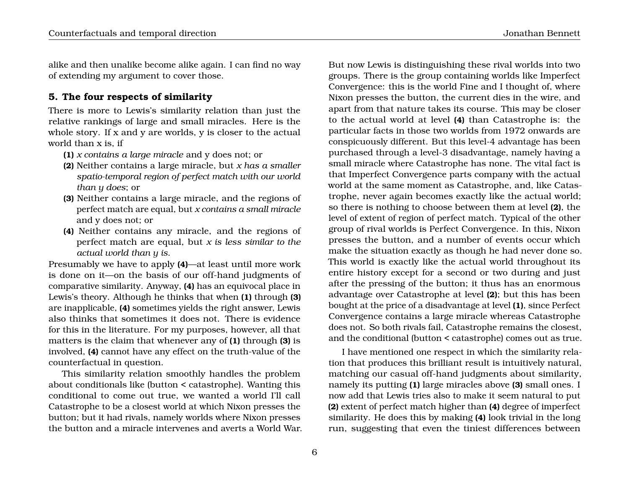alike and then unalike become alike again. I can find no way of extending my argument to cover those.

# **5. The four respects of similarity**

There is more to Lewis's similarity relation than just the relative rankings of large and small miracles. Here is the whole story. If x and y are worlds, y is closer to the actual world than x is, if

- **(1)** *x contains a large miracle* and y does not; or
- **(2)** Neither contains a large miracle, but *x has a smaller spatio-temporal region of perfect match with our world than y does*; or
- **(3)** Neither contains a large miracle, and the regions of perfect match are equal, but *x contains a small miracle* and y does not; or
- **(4)** Neither contains any miracle, and the regions of perfect match are equal, but *x is less similar to the actual world than y is*.

Presumably we have to apply **(4)**—at least until more work is done on it—on the basis of our off-hand judgments of comparative similarity. Anyway, **(4)** has an equivocal place in Lewis's theory. Although he thinks that when **(1)** through **(3)** are inapplicable, **(4)** sometimes yields the right answer, Lewis also thinks that sometimes it does not. There is evidence for this in the literature. For my purposes, however, all that matters is the claim that whenever any of **(1)** through **(3)** is involved, **(4)** cannot have any effect on the truth-value of the counterfactual in question.

This similarity relation smoothly handles the problem about conditionals like (button < catastrophe). Wanting this conditional to come out true, we wanted a world I'll call Catastrophe to be a closest world at which Nixon presses the button; but it had rivals, namely worlds where Nixon presses the button and a miracle intervenes and averts a World War.

But now Lewis is distinguishing these rival worlds into two groups. There is the group containing worlds like Imperfect Convergence: this is the world Fine and I thought of, where Nixon presses the button, the current dies in the wire, and apart from that nature takes its course. This may be closer to the actual world at level **(4)** than Catastrophe is: the particular facts in those two worlds from 1972 onwards are conspicuously different. But this level-4 advantage has been purchased through a level-3 disadvantage, namely having a small miracle where Catastrophe has none. The vital fact is that Imperfect Convergence parts company with the actual world at the same moment as Catastrophe, and, like Catastrophe, never again becomes exactly like the actual world; so there is nothing to choose between them at level **(2)**, the level of extent of region of perfect match. Typical of the other group of rival worlds is Perfect Convergence. In this, Nixon presses the button, and a number of events occur which make the situation exactly as though he had never done so. This world is exactly like the actual world throughout its entire history except for a second or two during and just after the pressing of the button; it thus has an enormous advantage over Catastrophe at level **(2)**; but this has been bought at the price of a disadvantage at level **(1)**, since Perfect Convergence contains a large miracle whereas Catastrophe does not. So both rivals fail, Catastrophe remains the closest, and the conditional (button < catastrophe) comes out as true.

I have mentioned one respect in which the similarity relation that produces this brilliant result is intuitively natural, matching our casual off-hand judgments about similarity, namely its putting **(1)** large miracles above **(3)** small ones. I now add that Lewis tries also to make it seem natural to put **(2)** extent of perfect match higher than **(4)** degree of imperfect similarity. He does this by making **(4)** look trivial in the long run, suggesting that even the tiniest differences between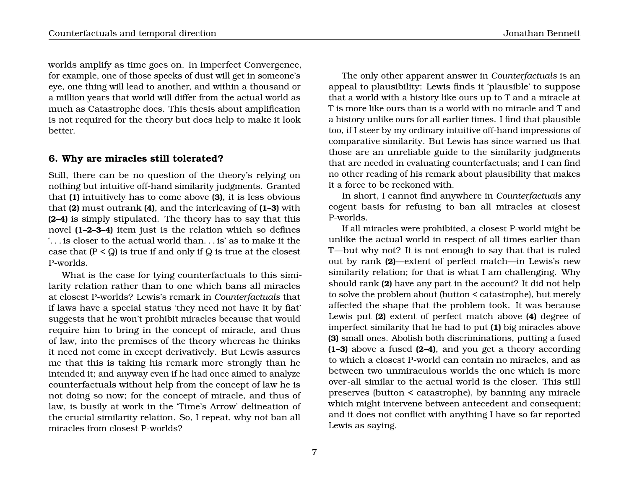worlds amplify as time goes on. In Imperfect Convergence, for example, one of those specks of dust will get in someone's eye, one thing will lead to another, and within a thousand or a million years that world will differ from the actual world as much as Catastrophe does. This thesis about amplification is not required for the theory but does help to make it look better.

#### **6. Why are miracles still tolerated?**

Still, there can be no question of the theory's relying on nothing but intuitive off-hand similarity judgments. Granted that **(1)** intuitively has to come above **(3)**, it is less obvious that **(2)** must outrank **(4)**, and the interleaving of **(1–3)** with **(2–4)** is simply stipulated. The theory has to say that this novel **(1–2–3–4)** item just is the relation which so defines '. . . is closer to the actual world than. . . is' as to make it the case that  $(P < Q)$  is true if and only if  $Q$  is true at the closest P-worlds.

What is the case for tying counterfactuals to this similarity relation rather than to one which bans all miracles at closest P-worlds? Lewis's remark in *Counterfactuals* that if laws have a special status 'they need not have it by fiat' suggests that he won't prohibit miracles because that would require him to bring in the concept of miracle, and thus of law, into the premises of the theory whereas he thinks it need not come in except derivatively. But Lewis assures me that this is taking his remark more strongly than he intended it; and anyway even if he had once aimed to analyze counterfactuals without help from the concept of law he is not doing so now; for the concept of miracle, and thus of law, is busily at work in the 'Time's Arrow' delineation of the crucial similarity relation. So, I repeat, why not ban all miracles from closest P-worlds?

The only other apparent answer in *Counterfactuals* is an appeal to plausibility: Lewis finds it 'plausible' to suppose that a world with a history like ours up to T and a miracle at T is more like ours than is a world with no miracle and T and a history unlike ours for all earlier times. I find that plausible too, if I steer by my ordinary intuitive off-hand impressions of comparative similarity. But Lewis has since warned us that those are an unreliable guide to the similarity judgments that are needed in evaluating counterfactuals; and I can find no other reading of his remark about plausibility that makes it a force to be reckoned with.

In short, I cannot find anywhere in *Counterfactuals* any cogent basis for refusing to ban all miracles at closest P-worlds.

If all miracles were prohibited, a closest P-world might be unlike the actual world in respect of all times earlier than T—but why not? It is not enough to say that that is ruled out by rank **(2)**—extent of perfect match—in Lewis's new similarity relation; for that is what I am challenging. Why should rank **(2)** have any part in the account? It did not help to solve the problem about (button < catastrophe), but merely affected the shape that the problem took. It was because Lewis put **(2)** extent of perfect match above **(4)** degree of imperfect similarity that he had to put **(1)** big miracles above **(3)** small ones. Abolish both discriminations, putting a fused **(1–3)** above a fused **(2–4)**, and you get a theory according to which a closest P-world can contain no miracles, and as between two unmiraculous worlds the one which is more over-all similar to the actual world is the closer. This still preserves (button < catastrophe), by banning any miracle which might intervene between antecedent and consequent; and it does not conflict with anything I have so far reported Lewis as saying.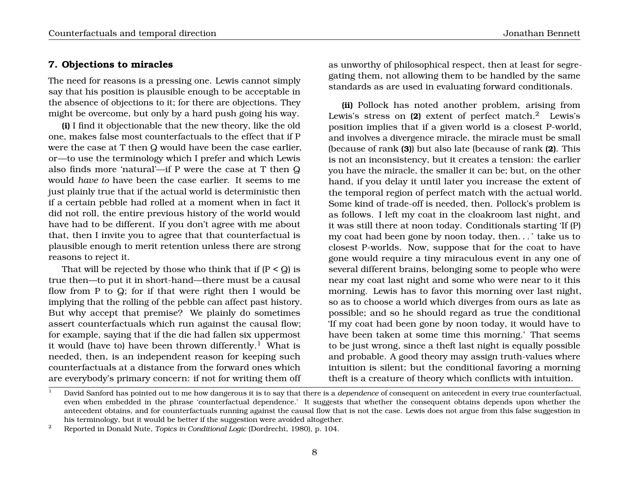## **7. Objections to miracles**

The need for reasons is a pressing one. Lewis cannot simply say that his position is plausible enough to be acceptable in the absence of objections to it; for there are objections. They might be overcome, but only by a hard push going his way.

**(i)** I find it objectionable that the new theory, like the old one, makes false most counterfactuals to the effect that if P were the case at T then Q would have been the case earlier, or—to use the terminology which I prefer and which Lewis also finds more 'natural'—if P were the case at T then Q would *have to* have been the case earlier. It seems to me just plainly true that if the actual world is deterministic then if a certain pebble had rolled at a moment when in fact it did not roll, the entire previous history of the world would have had to be different. If you don't agree with me about that, then I invite you to agree that that counterfactual is plausible enough to merit retention unless there are strong reasons to reject it.

That will be rejected by those who think that if  $(P < Q)$  is true then—to put it in short-hand—there must be a causal flow from P to Q; for if that were right then I would be implying that the rolling of the pebble can affect past history. But why accept that premise? We plainly do sometimes assert counterfactuals which run against the causal flow; for example, saying that if the die had fallen six uppermost it would (have to) have been thrown differently.<sup>1</sup> What is needed, then, is an independent reason for keeping such counterfactuals at a distance from the forward ones which are everybody's primary concern: if not for writing them off

as unworthy of philosophical respect, then at least for segregating them, not allowing them to be handled by the same standards as are used in evaluating forward conditionals.

**(ii)** Pollock has noted another problem, arising from Lewis's stress on (2) extent of perfect match.<sup>2</sup> Lewis's position implies that if a given world is a closest P-world, and involves a divergence miracle, the miracle must be small (because of rank **(3)**) but also late (because of rank **(2)**. This is not an inconsistency, but it creates a tension: the earlier you have the miracle, the smaller it can be; but, on the other hand, if you delay it until later you increase the extent of the temporal region of perfect match with the actual world. Some kind of trade-off is needed, then. Pollock's problem is as follows. I left my coat in the cloakroom last night, and it was still there at noon today. Conditionals starting 'If (P) my coat had been gone by noon today, then. . . ' take us to closest P-worlds. Now, suppose that for the coat to have gone would require a tiny miraculous event in any one of several different brains, belonging some to people who were near my coat last night and some who were near to it this morning. Lewis has to favor this morning over last night, so as to choose a world which diverges from ours as late as possible; and so he should regard as true the conditional 'If my coat had been gone by noon today, it would have to have been taken at some time this morning.' That seems to be just wrong, since a theft last night is equally possible and probable. A good theory may assign truth-values where intuition is silent; but the conditional favoring a morning theft is a creature of theory which conflicts with intuition.

<sup>&</sup>lt;sup>1</sup> David Sanford has pointed out to me how dangerous it is to say that there is a *dependence* of consequent on antecedent in every true counterfactual, even when embedded in the phrase 'counterfactual dependence.' It suggests that whether the consequent obtains depends upon whether the antecedent obtains, and for counterfactuals running against the causal flow that is not the case. Lewis does not argue from this false suggestion in his terminology, but it would be better if the suggestion were avoided altogether.

<sup>2</sup> Reported in Donald Nute, *Topics in Conditional Logic* (Dordrecht, 1980), p. 104.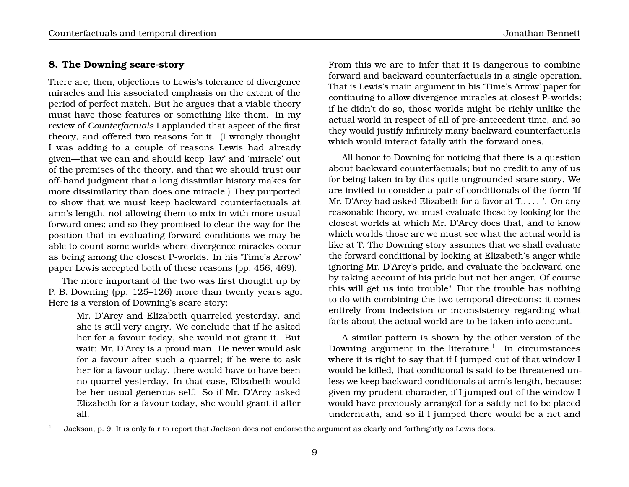## **8. The Downing scare-story**

There are, then, objections to Lewis's tolerance of divergence miracles and his associated emphasis on the extent of the period of perfect match. But he argues that a viable theory must have those features or something like them. In my review of *Counterfactuals* I applauded that aspect of the first theory, and offered two reasons for it. (I wrongly thought I was adding to a couple of reasons Lewis had already given—that we can and should keep 'law' and 'miracle' out of the premises of the theory, and that we should trust our off-hand judgment that a long dissimilar history makes for more dissimilarity than does one miracle.) They purported to show that we must keep backward counterfactuals at arm's length, not allowing them to mix in with more usual forward ones; and so they promised to clear the way for the position that in evaluating forward conditions we may be able to count some worlds where divergence miracles occur as being among the closest P-worlds. In his 'Time's Arrow' paper Lewis accepted both of these reasons (pp. 456, 469).

The more important of the two was first thought up by P. B. Downing (pp. 125–126) more than twenty years ago. Here is a version of Downing's scare story:

> Mr. D'Arcy and Elizabeth quarreled yesterday, and she is still very angry. We conclude that if he asked her for a favour today, she would not grant it. But wait: Mr. D'Arcy is a proud man. He never would ask for a favour after such a quarrel; if he were to ask her for a favour today, there would have to have been no quarrel yesterday. In that case, Elizabeth would be her usual generous self. So if Mr. D'Arcy asked Elizabeth for a favour today, she would grant it after all.

From this we are to infer that it is dangerous to combine forward and backward counterfactuals in a single operation. That is Lewis's main argument in his 'Time's Arrow' paper for continuing to allow divergence miracles at closest P-worlds: if he didn't do so, those worlds might be richly unlike the actual world in respect of all of pre-antecedent time, and so they would justify infinitely many backward counterfactuals which would interact fatally with the forward ones.

All honor to Downing for noticing that there is a question about backward counterfactuals; but no credit to any of us for being taken in by this quite ungrounded scare story. We are invited to consider a pair of conditionals of the form 'If Mr. D'Arcy had asked Elizabeth for a favor at T,. . . . '. On any reasonable theory, we must evaluate these by looking for the closest worlds at which Mr. D'Arcy does that, and to know which worlds those are we must see what the actual world is like at T. The Downing story assumes that we shall evaluate the forward conditional by looking at Elizabeth's anger while ignoring Mr. D'Arcy's pride, and evaluate the backward one by taking account of his pride but not her anger. Of course this will get us into trouble! But the trouble has nothing to do with combining the two temporal directions: it comes entirely from indecision or inconsistency regarding what facts about the actual world are to be taken into account.

A similar pattern is shown by the other version of the Downing argument in the literature. $^{\rm l}$  In circumstances where it is right to say that if I jumped out of that window I would be killed, that conditional is said to be threatened unless we keep backward conditionals at arm's length, because: given my prudent character, if I jumped out of the window I would have previously arranged for a safety net to be placed underneath, and so if I jumped there would be a net and

<sup>1</sup> Jackson, p. 9. It is only fair to report that Jackson does not endorse the argument as clearly and forthrightly as Lewis does.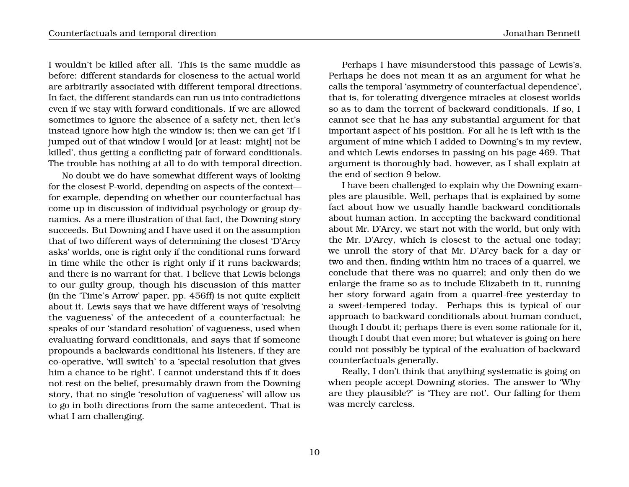I wouldn't be killed after all. This is the same muddle as before: different standards for closeness to the actual world are arbitrarily associated with different temporal directions. In fact, the different standards can run us into contradictions even if we stay with forward conditionals. If we are allowed sometimes to ignore the absence of a safety net, then let's instead ignore how high the window is; then we can get 'If I jumped out of that window I would [or at least: might] not be killed', thus getting a conflicting pair of forward conditionals. The trouble has nothing at all to do with temporal direction.

No doubt we do have somewhat different ways of looking for the closest P-world, depending on aspects of the context for example, depending on whether our counterfactual has come up in discussion of individual psychology or group dynamics. As a mere illustration of that fact, the Downing story succeeds. But Downing and I have used it on the assumption that of two different ways of determining the closest 'D'Arcy asks' worlds, one is right only if the conditional runs forward in time while the other is right only if it runs backwards; and there is no warrant for that. I believe that Lewis belongs to our guilty group, though his discussion of this matter (in the 'Time's Arrow' paper, pp. 456ff) is not quite explicit about it. Lewis says that we have different ways of 'resolving the vagueness' of the antecedent of a counterfactual; he speaks of our 'standard resolution' of vagueness, used when evaluating forward conditionals, and says that if someone propounds a backwards conditional his listeners, if they are co-operative, 'will switch' to a 'special resolution that gives him a chance to be right'. I cannot understand this if it does not rest on the belief, presumably drawn from the Downing story, that no single 'resolution of vagueness' will allow us to go in both directions from the same antecedent. That is what I am challenging.

Perhaps I have misunderstood this passage of Lewis's. Perhaps he does not mean it as an argument for what he calls the temporal 'asymmetry of counterfactual dependence', that is, for tolerating divergence miracles at closest worlds so as to dam the torrent of backward conditionals. If so, I cannot see that he has any substantial argument for that important aspect of his position. For all he is left with is the argument of mine which I added to Downing's in my review, and which Lewis endorses in passing on his page 469. That argument is thoroughly bad, however, as I shall explain at the end of section 9 below.

I have been challenged to explain why the Downing examples are plausible. Well, perhaps that is explained by some fact about how we usually handle backward conditionals about human action. In accepting the backward conditional about Mr. D'Arcy, we start not with the world, but only with the Mr. D'Arcy, which is closest to the actual one today; we unroll the story of that Mr. D'Arcy back for a day or two and then, finding within him no traces of a quarrel, we conclude that there was no quarrel; and only then do we enlarge the frame so as to include Elizabeth in it, running her story forward again from a quarrel-free yesterday to a sweet-tempered today. Perhaps this is typical of our approach to backward conditionals about human conduct, though I doubt it; perhaps there is even some rationale for it, though I doubt that even more; but whatever is going on here could not possibly be typical of the evaluation of backward counterfactuals generally.

Really, I don't think that anything systematic is going on when people accept Downing stories. The answer to 'Why are they plausible?' is 'They are not'. Our falling for them was merely careless.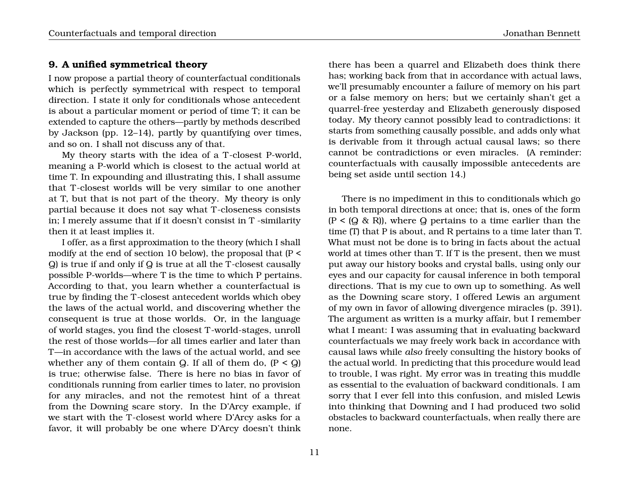## **9. A unified symmetrical theory**

I now propose a partial theory of counterfactual conditionals which is perfectly symmetrical with respect to temporal direction. I state it only for conditionals whose antecedent is about a particular moment or period of time T; it can be extended to capture the others—partly by methods described by Jackson (pp. 12–14), partly by quantifying over times, and so on. I shall not discuss any of that.

My theory starts with the idea of a T-closest P-world, meaning a P-world which is closest to the actual world at time T. In expounding and illustrating this, I shall assume that T-closest worlds will be very similar to one another at T, but that is not part of the theory. My theory is only partial because it does not say what T-closeness consists in; I merely assume that if it doesn't consist in T -similarity then it at least implies it.

I offer, as a first approximation to the theory (which I shall modify at the end of section 10 below), the proposal that (P < Q) is true if and only if Q is true at all the T-closest causally possible P-worlds—where T is the time to which P pertains. According to that, you learn whether a counterfactual is true by finding the T-closest antecedent worlds which obey the laws of the actual world, and discovering whether the consequent is true at those worlds. Or, in the language of world stages, you find the closest T-world-stages, unroll the rest of those worlds—for all times earlier and later than T—in accordance with the laws of the actual world, and see whether any of them contain Q. If all of them do,  $(P < Q)$ is true; otherwise false. There is here no bias in favor of conditionals running from earlier times to later, no provision for any miracles, and not the remotest hint of a threat from the Downing scare story. In the D'Arcy example, if we start with the T-closest world where D'Arcy asks for a favor, it will probably be one where D'Arcy doesn't think

there has been a quarrel and Elizabeth does think there has; working back from that in accordance with actual laws, we'll presumably encounter a failure of memory on his part or a false memory on hers; but we certainly shan't get a quarrel-free yesterday and Elizabeth generously disposed today. My theory cannot possibly lead to contradictions: it starts from something causally possible, and adds only what is derivable from it through actual causal laws; so there cannot be contradictions or even miracles. (A reminder: counterfactuals with causally impossible antecedents are being set aside until section 14.)

There is no impediment in this to conditionals which go in both temporal directions at once; that is, ones of the form  $(P < (Q \& R))$ , where Q pertains to a time earlier than the time (T) that P is about, and R pertains to a time later than T. What must not be done is to bring in facts about the actual world at times other than T. If T is the present, then we must put away our history books and crystal balls, using only our eyes and our capacity for causal inference in both temporal directions. That is my cue to own up to something. As well as the Downing scare story, I offered Lewis an argument of my own in favor of allowing divergence miracles (p. 391). The argument as written is a murky affair, but I remember what I meant: I was assuming that in evaluating backward counterfactuals we may freely work back in accordance with causal laws while *also* freely consulting the history books of the actual world. In predicting that this procedure would lead to trouble, I was right. My error was in treating this muddle as essential to the evaluation of backward conditionals. I am sorry that I ever fell into this confusion, and misled Lewis into thinking that Downing and I had produced two solid obstacles to backward counterfactuals, when really there are none.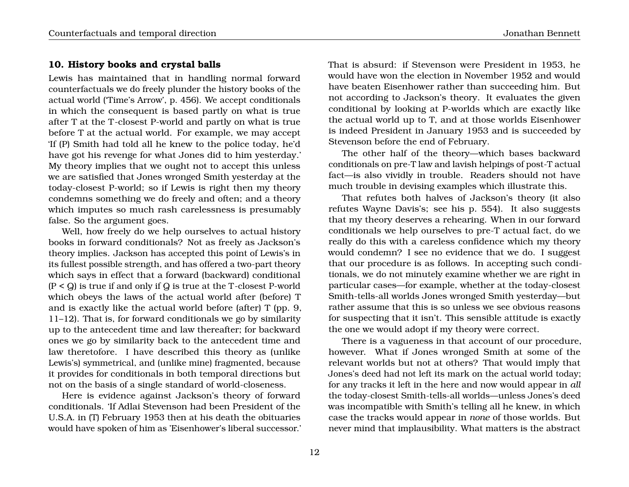### **10. History books and crystal balls**

Lewis has maintained that in handling normal forward counterfactuals we do freely plunder the history books of the actual world ('Time's Arrow', p. 456). We accept conditionals in which the consequent is based partly on what is true after T at the T-closest P-world and partly on what is true before T at the actual world. For example, we may accept 'If (P) Smith had told all he knew to the police today, he'd have got his revenge for what Jones did to him yesterday.' My theory implies that we ought not to accept this unless we are satisfied that Jones wronged Smith yesterday at the today-closest P-world; so if Lewis is right then my theory condemns something we do freely and often; and a theory which imputes so much rash carelessness is presumably false. So the argument goes.

Well, how freely do we help ourselves to actual history books in forward conditionals? Not as freely as Jackson's theory implies. Jackson has accepted this point of Lewis's in its fullest possible strength, and has offered a two-part theory which says in effect that a forward (backward) conditional  $(P < Q)$  is true if and only if  $Q$  is true at the T-closest P-world which obeys the laws of the actual world after (before) T and is exactly like the actual world before (after) T (pp. 9, 11–12). That is, for forward conditionals we go by similarity up to the antecedent time and law thereafter; for backward ones we go by similarity back to the antecedent time and law theretofore. I have described this theory as (unlike Lewis's) symmetrical, and (unlike mine) fragmented, because it provides for conditionals in both temporal directions but not on the basis of a single standard of world-closeness.

Here is evidence against Jackson's theory of forward conditionals. 'If Adlai Stevenson had been President of the U.S.A. in (T) February 1953 then at his death the obituaries would have spoken of him as 'Eisenhower's liberal successor.' That is absurd: if Stevenson were President in 1953, he would have won the election in November 1952 and would have beaten Eisenhower rather than succeeding him. But not according to Jackson's theory. It evaluates the given conditional by looking at P-worlds which are exactly like the actual world up to T, and at those worlds Eisenhower is indeed President in January 1953 and is succeeded by Stevenson before the end of February.

The other half of the theory—which bases backward conditionals on pre-T law and lavish helpings of post-T actual fact—is also vividly in trouble. Readers should not have much trouble in devising examples which illustrate this.

That refutes both halves of Jackson's theory (it also refutes Wayne Davis's; see his p. 554). It also suggests that my theory deserves a rehearing. When in our forward conditionals we help ourselves to pre-T actual fact, do we really do this with a careless confidence which my theory would condemn? I see no evidence that we do. I suggest that our procedure is as follows. In accepting such conditionals, we do not minutely examine whether we are right in particular cases—for example, whether at the today-closest Smith-tells-all worlds Jones wronged Smith yesterday—but rather assume that this is so unless we see obvious reasons for suspecting that it isn't. This sensible attitude is exactly the one we would adopt if my theory were correct.

There is a vagueness in that account of our procedure, however. What if Jones wronged Smith at some of the relevant worlds but not at others? That would imply that Jones's deed had not left its mark on the actual world today; for any tracks it left in the here and now would appear in *all* the today-closest Smith-tells-all worlds—unless Jones's deed was incompatible with Smith's telling all he knew, in which case the tracks would appear in *none* of those worlds. But never mind that implausibility. What matters is the abstract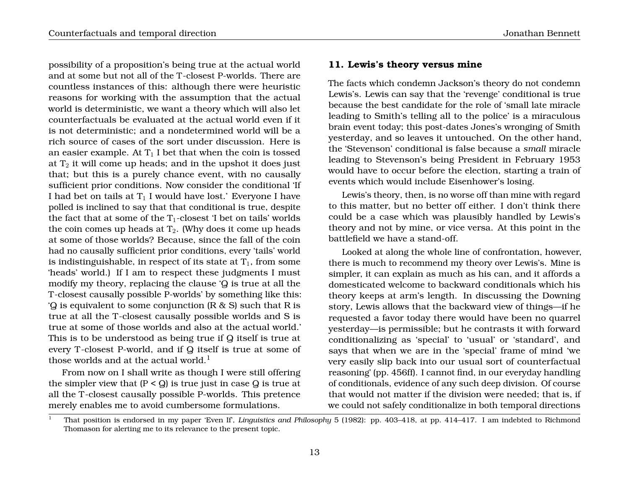possibility of a proposition's being true at the actual world and at some but not all of the T-closest P-worlds. There are countless instances of this: although there were heuristic reasons for working with the assumption that the actual world is deterministic, we want a theory which will also let counterfactuals be evaluated at the actual world even if it is not deterministic; and a nondetermined world will be a rich source of cases of the sort under discussion. Here is an easier example. At  $T_1$  I bet that when the coin is tossed at  $T_2$  it will come up heads; and in the upshot it does just that; but this is a purely chance event, with no causally sufficient prior conditions. Now consider the conditional 'If I had bet on tails at  $T_1$  I would have lost.' Everyone I have polled is inclined to say that that conditional is true, despite the fact that at some of the  $T_1$ -closest 'I bet on tails' worlds the coin comes up heads at  $T_2$ . (Why does it come up heads at some of those worlds? Because, since the fall of the coin had no causally sufficient prior conditions, every 'tails' world is indistinguishable, in respect of its state at  $T_1$ , from some 'heads' world.) If I am to respect these judgments I must modify my theory, replacing the clause 'Q is true at all the T-closest causally possible P-worlds' by something like this: 'Q is equivalent to some conjunction (R & S) such that R is true at all the T-closest causally possible worlds and S is true at some of those worlds and also at the actual world.' This is to be understood as being true if Q itself is true at every T-closest P-world, and if Q itself is true at some of those worlds and at the actual world.<sup>1</sup>

From now on I shall write as though I were still offering the simpler view that  $(P < Q)$  is true just in case  $Q$  is true at all the T-closest causally possible P-worlds. This pretence merely enables me to avoid cumbersome formulations.

#### **11. Lewis's theory versus mine**

The facts which condemn Jackson's theory do not condemn Lewis's. Lewis can say that the 'revenge' conditional is true because the best candidate for the role of 'small late miracle leading to Smith's telling all to the police' is a miraculous brain event today; this post-dates Jones's wronging of Smith yesterday, and so leaves it untouched. On the other hand, the 'Stevenson' conditional is false because a *small* miracle leading to Stevenson's being President in February 1953 would have to occur before the election, starting a train of events which would include Eisenhower's losing.

Lewis's theory, then, is no worse off than mine with regard to this matter, but no better off either. I don't think there could be a case which was plausibly handled by Lewis's theory and not by mine, or vice versa. At this point in the battlefield we have a stand-off.

Looked at along the whole line of confrontation, however, there is much to recommend my theory over Lewis's. Mine is simpler, it can explain as much as his can, and it affords a domesticated welcome to backward conditionals which his theory keeps at arm's length. In discussing the Downing story, Lewis allows that the backward view of things—if he requested a favor today there would have been no quarrel yesterday—is permissible; but he contrasts it with forward conditionalizing as 'special' to 'usual' or 'standard', and says that when we are in the 'special' frame of mind 'we very easily slip back into our usual sort of counterfactual reasoning' (pp. 456ff). I cannot find, in our everyday handling of conditionals, evidence of any such deep division. Of course that would not matter if the division were needed; that is, if we could not safely conditionalize in both temporal directions

<sup>1</sup> That position is endorsed in my paper 'Even If', *Linguistics and Philosophy* 5 (1982): pp. 403–418, at pp. 414–417. I am indebted to Richmond Thomason for alerting me to its relevance to the present topic.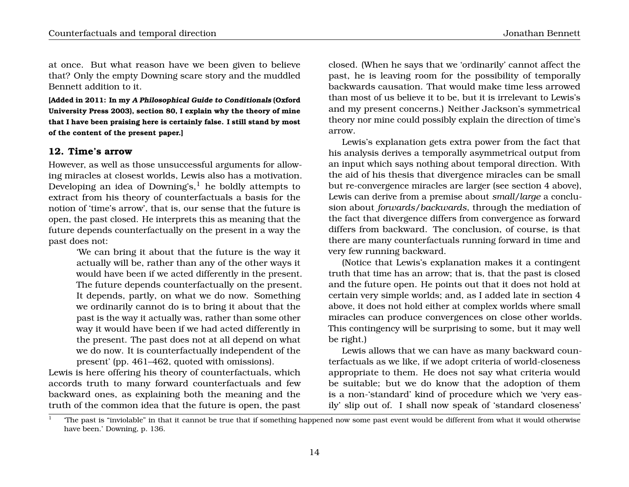at once. But what reason have we been given to believe that? Only the empty Downing scare story and the muddled Bennett addition to it.

**[Added in 2011: In my A Philosophical Guide to Conditionals (Oxford University Press 2003), section 80, I explain why the theory of mine that I have been praising here is certainly false. I still stand by most of the content of the present paper.]**

## **12. Time's arrow**

However, as well as those unsuccessful arguments for allowing miracles at closest worlds, Lewis also has a motivation. Developing an idea of Downing's, $<sup>1</sup>$  he boldly attempts to</sup> extract from his theory of counterfactuals a basis for the notion of 'time's arrow', that is, our sense that the future is open, the past closed. He interprets this as meaning that the future depends counterfactually on the present in a way the past does not:

> 'We can bring it about that the future is the way it actually will be, rather than any of the other ways it would have been if we acted differently in the present. The future depends counterfactually on the present. It depends, partly, on what we do now. Something we ordinarily cannot do is to bring it about that the past is the way it actually was, rather than some other way it would have been if we had acted differently in the present. The past does not at all depend on what we do now. It is counterfactually independent of the present' (pp. 461–462, quoted with omissions).

Lewis is here offering his theory of counterfactuals, which accords truth to many forward counterfactuals and few backward ones, as explaining both the meaning and the truth of the common idea that the future is open, the past closed. (When he says that we 'ordinarily' cannot affect the past, he is leaving room for the possibility of temporally backwards causation. That would make time less arrowed than most of us believe it to be, but it is irrelevant to Lewis's and my present concerns.) Neither Jackson's symmetrical theory nor mine could possibly explain the direction of time's arrow.

Lewis's explanation gets extra power from the fact that his analysis derives a temporally asymmetrical output from an input which says nothing about temporal direction. With the aid of his thesis that divergence miracles can be small but re-convergence miracles are larger (see section 4 above), Lewis can derive from a premise about *small/large* a conclusion about *forwards/backwards*, through the mediation of the fact that divergence differs from convergence as forward differs from backward. The conclusion, of course, is that there are many counterfactuals running forward in time and very few running backward.

(Notice that Lewis's explanation makes it a contingent truth that time has an arrow; that is, that the past is closed and the future open. He points out that it does not hold at certain very simple worlds; and, as I added late in section 4 above, it does not hold either at complex worlds where small miracles can produce convergences on close other worlds. This contingency will be surprising to some, but it may well be right.)

Lewis allows that we can have as many backward counterfactuals as we like, if we adopt criteria of world-closeness appropriate to them. He does not say what criteria would be suitable; but we do know that the adoption of them is a non-'standard' kind of procedure which we 'very easily' slip out of. I shall now speak of 'standard closeness'

<sup>1</sup> 'The past is "inviolable" in that it cannot be true that if something happened now some past event would be different from what it would otherwise have been.' Downing, p. 136.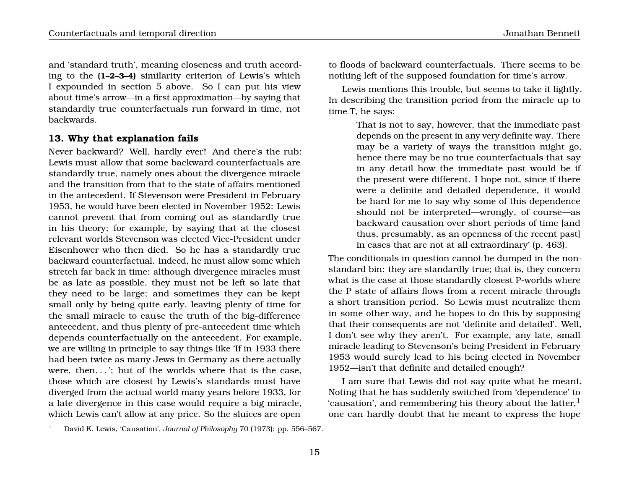and 'standard truth', meaning closeness and truth according to the **(1–2–3–4)** similarity criterion of Lewis's which I expounded in section 5 above. So I can put his view about time's arrow—in a first approximation—by saying that standardly true counterfactuals run forward in time, not backwards.

# **13. Why that explanation fails**

Never backward? Well, hardly ever! And there's the rub: Lewis must allow that some backward counterfactuals are standardly true, namely ones about the divergence miracle and the transition from that to the state of affairs mentioned in the antecedent. If Stevenson were President in February 1953, he would have been elected in November 1952: Lewis cannot prevent that from coming out as standardly true in his theory; for example, by saying that at the closest relevant worlds Stevenson was elected Vice-President under Eisenhower who then died. So he has a standardly true backward counterfactual. Indeed, he must allow some which stretch far back in time: although divergence miracles must be as late as possible, they must not be left so late that they need to be large; and sometimes they can be kept small only by being quite early, leaving plenty of time for the small miracle to cause the truth of the big-difference antecedent, and thus plenty of pre-antecedent time which depends counterfactually on the antecedent. For example, we are willing in principle to say things like 'If in 1933 there had been twice as many Jews in Germany as there actually were, then...'; but of the worlds where that is the case, those which are closest by Lewis's standards must have diverged from the actual world many years before 1933, for a late divergence in this case would require a big miracle, which Lewis can't allow at any price. So the sluices are open

to floods of backward counterfactuals. There seems to be nothing left of the supposed foundation for time's arrow.

Lewis mentions this trouble, but seems to take it lightly. In describing the transition period from the miracle up to time T, he says:

> That is not to say, however, that the immediate past depends on the present in any very definite way. There may be a variety of ways the transition might go, hence there may be no true counterfactuals that say in any detail how the immediate past would be if the present were different. I hope not, since if there were a definite and detailed dependence, it would be hard for me to say why some of this dependence should not be interpreted—wrongly, of course—as backward causation over short periods of time [and thus, presumably, as an openness of the recent past] in cases that are not at all extraordinary' (p. 463).

The conditionals in question cannot be dumped in the nonstandard bin: they are standardly true; that is, they concern what is the case at those standardly closest P-worlds where the P state of affairs flows from a recent miracle through a short transition period. So Lewis must neutralize them in some other way, and he hopes to do this by supposing that their consequents are not 'definite and detailed'. Well, I don't see why they aren't. For example, any late, small miracle leading to Stevenson's being President in February 1953 would surely lead to his being elected in November 1952—isn't that definite and detailed enough?

I am sure that Lewis did not say quite what he meant. Noting that he has suddenly switched from 'dependence' to 'causation', and remembering his theory about the latter, $<sup>1</sup>$ </sup> one can hardly doubt that he meant to express the hope

<sup>1</sup> David K. Lewis, 'Causation', *Journal of Philosophy* 70 (1973): pp. 556–567.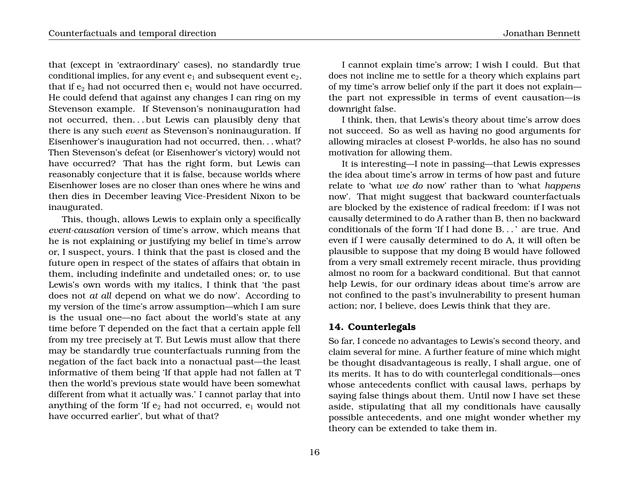that (except in 'extraordinary' cases), no standardly true conditional implies, for any event  $e_1$  and subsequent event  $e_2$ , that if  $e_2$  had not occurred then  $e_1$  would not have occurred. He could defend that against any changes I can ring on my Stevenson example. If Stevenson's noninauguration had not occurred, then. . . but Lewis can plausibly deny that there is any such *event* as Stevenson's noninauguration. If Eisenhower's inauguration had not occurred, then. . . what? Then Stevenson's defeat (or Eisenhower's victory) would not have occurred? That has the right form, but Lewis can reasonably conjecture that it is false, because worlds where Eisenhower loses are no closer than ones where he wins and then dies in December leaving Vice-President Nixon to be inaugurated.

This, though, allows Lewis to explain only a specifically *event-causation* version of time's arrow, which means that he is not explaining or justifying my belief in time's arrow or, I suspect, yours. I think that the past is closed and the future open in respect of the states of affairs that obtain in them, including indefinite and undetailed ones; or, to use Lewis's own words with my italics, I think that 'the past does not *at all* depend on what we do now'. According to my version of the time's arrow assumption—which I am sure is the usual one—no fact about the world's state at any time before T depended on the fact that a certain apple fell from my tree precisely at T. But Lewis must allow that there may be standardly true counterfactuals running from the negation of the fact back into a nonactual past—the least informative of them being 'If that apple had not fallen at T then the world's previous state would have been somewhat different from what it actually was.' I cannot parlay that into anything of the form 'If  $e_2$  had not occurred,  $e_1$  would not have occurred earlier', but what of that?

I cannot explain time's arrow; I wish I could. But that does not incline me to settle for a theory which explains part of my time's arrow belief only if the part it does not explain the part not expressible in terms of event causation—is downright false.

I think, then, that Lewis's theory about time's arrow does not succeed. So as well as having no good arguments for allowing miracles at closest P-worlds, he also has no sound motivation for allowing them.

It is interesting—I note in passing—that Lewis expresses the idea about time's arrow in terms of how past and future relate to 'what *we do* now' rather than to 'what *happens* now'. That might suggest that backward counterfactuals are blocked by the existence of radical freedom: if I was not causally determined to do A rather than B, then no backward conditionals of the form 'If I had done B. . . ' are true. And even if I were causally determined to do A, it will often be plausible to suppose that my doing B would have followed from a very small extremely recent miracle, thus providing almost no room for a backward conditional. But that cannot help Lewis, for our ordinary ideas about time's arrow are not confined to the past's invulnerability to present human action; nor, I believe, does Lewis think that they are.

### **14. Counterlegals**

So far, I concede no advantages to Lewis's second theory, and claim several for mine. A further feature of mine which might be thought disadvantageous is really, I shall argue, one of its merits. It has to do with counterlegal conditionals—ones whose antecedents conflict with causal laws, perhaps by saying false things about them. Until now I have set these aside, stipulating that all my conditionals have causally possible antecedents, and one might wonder whether my theory can be extended to take them in.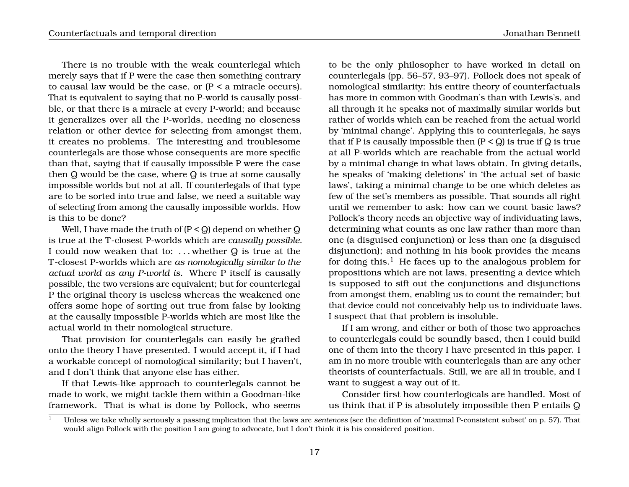There is no trouble with the weak counterlegal which merely says that if P were the case then something contrary to causal law would be the case, or  $(P \le a$  miracle occurs). That is equivalent to saying that no P-world is causally possible, or that there is a miracle at every P-world; and because it generalizes over all the P-worlds, needing no closeness relation or other device for selecting from amongst them, it creates no problems. The interesting and troublesome counterlegals are those whose consequents are more specific than that, saying that if causally impossible P were the case then Q would be the case, where Q is true at some causally impossible worlds but not at all. If counterlegals of that type are to be sorted into true and false, we need a suitable way of selecting from among the causally impossible worlds. How is this to be done?

Well, I have made the truth of  $(P < Q)$  depend on whether  $Q$ is true at the T-closest P-worlds which are *causally possible*. I could now weaken that to: . . . whether Q is true at the T-closest P-worlds which are *as nomologically similar to the actual world as any P-world is*. Where P itself is causally possible, the two versions are equivalent; but for counterlegal P the original theory is useless whereas the weakened one offers some hope of sorting out true from false by looking at the causally impossible P-worlds which are most like the actual world in their nomological structure.

That provision for counterlegals can easily be grafted onto the theory I have presented. I would accept it, if I had a workable concept of nomological similarity; but I haven't, and I don't think that anyone else has either.

If that Lewis-like approach to counterlegals cannot be made to work, we might tackle them within a Goodman-like framework. That is what is done by Pollock, who seems

to be the only philosopher to have worked in detail on counterlegals (pp. 56–57, 93–97). Pollock does not speak of nomological similarity: his entire theory of counterfactuals has more in common with Goodman's than with Lewis's, and all through it he speaks not of maximally similar worlds but rather of worlds which can be reached from the actual world by 'minimal change'. Applying this to counterlegals, he says that if P is causally impossible then  $(P < Q)$  is true if Q is true at all P-worlds which are reachable from the actual world by a minimal change in what laws obtain. In giving details, he speaks of 'making deletions' in 'the actual set of basic laws', taking a minimal change to be one which deletes as few of the set's members as possible. That sounds all right until we remember to ask: how can we count basic laws? Pollock's theory needs an objective way of individuating laws, determining what counts as one law rather than more than one (a disguised conjunction) or less than one (a disguised disjunction); and nothing in his book provides the means for doing this.<sup>1</sup> He faces up to the analogous problem for propositions which are not laws, presenting a device which is supposed to sift out the conjunctions and disjunctions from amongst them, enabling us to count the remainder; but that device could not conceivably help us to individuate laws. I suspect that that problem is insoluble.

If I am wrong, and either or both of those two approaches to counterlegals could be soundly based, then I could build one of them into the theory I have presented in this paper. I am in no more trouble with counterlegals than are any other theorists of counterfactuals. Still, we are all in trouble, and I want to suggest a way out of it.

Consider first how counterlogicals are handled. Most of us think that if P is absolutely impossible then P entails Q

<sup>1</sup> Unless we take wholly seriously a passing implication that the laws are *sentences* (see the definition of 'maximal P-consistent subset' on p. 57). That would align Pollock with the position I am going to advocate, but I don't think it is his considered position.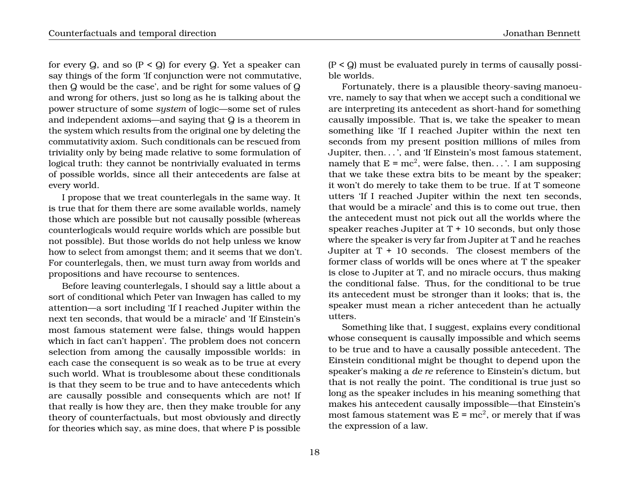for every  $Q$ , and so  $(P < Q)$  for every  $Q$ . Yet a speaker can say things of the form 'If conjunction were not commutative, then Q would be the case', and be right for some values of Q and wrong for others, just so long as he is talking about the power structure of some *system* of logic—some set of rules and independent axioms—and saying that Q is a theorem in the system which results from the original one by deleting the commutativity axiom. Such conditionals can be rescued from triviality only by being made relative to some formulation of logical truth: they cannot be nontrivially evaluated in terms of possible worlds, since all their antecedents are false at every world.

I propose that we treat counterlegals in the same way. It is true that for them there are some available worlds, namely those which are possible but not causally possible (whereas counterlogicals would require worlds which are possible but not possible). But those worlds do not help unless we know how to select from amongst them; and it seems that we don't. For counterlegals, then, we must turn away from worlds and propositions and have recourse to sentences.

Before leaving counterlegals, I should say a little about a sort of conditional which Peter van Inwagen has called to my attention—a sort including 'If I reached Jupiter within the next ten seconds, that would be a miracle' and 'If Einstein's most famous statement were false, things would happen which in fact can't happen'. The problem does not concern selection from among the causally impossible worlds: in each case the consequent is so weak as to be true at every such world. What is troublesome about these conditionals is that they seem to be true and to have antecedents which are causally possible and consequents which are not! If that really is how they are, then they make trouble for any theory of counterfactuals, but most obviously and directly for theories which say, as mine does, that where P is possible (P < Q) must be evaluated purely in terms of causally possible worlds.

Fortunately, there is a plausible theory-saving manoeuvre, namely to say that when we accept such a conditional we are interpreting its antecedent as short-hand for something causally impossible. That is, we take the speaker to mean something like 'If I reached Jupiter within the next ten seconds from my present position millions of miles from Jupiter, then. . . ', and 'If Einstein's most famous statement, namely that  $\text{E}$  =  $\text{mc}^2$ , were false, then. . .'. I am supposing that we take these extra bits to be meant by the speaker; it won't do merely to take them to be true. If at T someone utters 'If I reached Jupiter within the next ten seconds, that would be a miracle' and this is to come out true, then the antecedent must not pick out all the worlds where the speaker reaches Jupiter at  $T + 10$  seconds, but only those where the speaker is very far from Jupiter at T and he reaches Jupiter at  $T + 10$  seconds. The closest members of the former class of worlds will be ones where at T the speaker is close to Jupiter at T, and no miracle occurs, thus making the conditional false. Thus, for the conditional to be true its antecedent must be stronger than it looks; that is, the speaker must mean a richer antecedent than he actually utters.

Something like that, I suggest, explains every conditional whose consequent is causally impossible and which seems to be true and to have a causally possible antecedent. The Einstein conditional might be thought to depend upon the speaker's making a *de re* reference to Einstein's dictum, but that is not really the point. The conditional is true just so long as the speaker includes in his meaning something that makes his antecedent causally impossible—that Einstein's most famous statement was E =  $\mathrm{mc}^2$ , or merely that if was the expression of a law.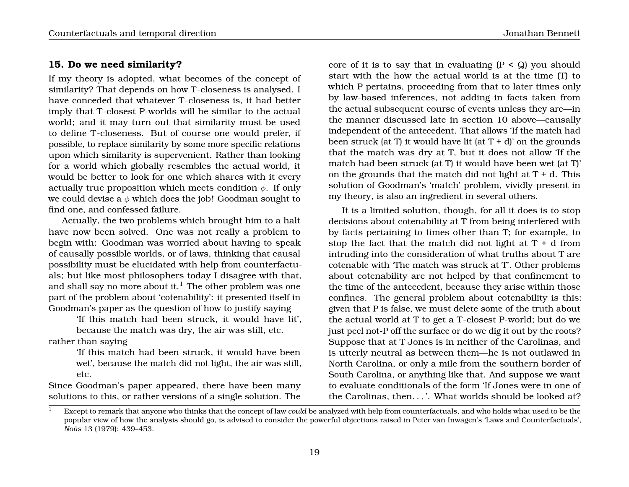If my theory is adopted, what becomes of the concept of similarity? That depends on how T-closeness is analysed. I have conceded that whatever T-closeness is, it had better imply that T-closest P-worlds will be similar to the actual world; and it may turn out that similarity must be used to define T-closeness. But of course one would prefer, if possible, to replace similarity by some more specific relations upon which similarity is supervenient. Rather than looking for a world which globally resembles the actual world, it would be better to look for one which shares with it every actually true proposition which meets condition  $\phi$ . If only we could devise a  $\phi$  which does the job! Goodman sought to find one, and confessed failure.

Actually, the two problems which brought him to a halt have now been solved. One was not really a problem to begin with: Goodman was worried about having to speak of causally possible worlds, or of laws, thinking that causal possibility must be elucidated with help from counterfactuals; but like most philosophers today I disagree with that, and shall say no more about it.<sup>1</sup> The other problem was one part of the problem about 'cotenability': it presented itself in Goodman's paper as the question of how to justify saying

'If this match had been struck, it would have lit', because the match was dry, the air was still, etc. rather than saying

> 'If this match had been struck, it would have been wet', because the match did not light, the air was still, etc.

Since Goodman's paper appeared, there have been many solutions to this, or rather versions of a single solution. The

core of it is to say that in evaluating  $(P < Q)$  you should start with the how the actual world is at the time (T) to which P pertains, proceeding from that to later times only by law-based inferences, not adding in facts taken from the actual subsequent course of events unless they are—in the manner discussed late in section 10 above—causally independent of the antecedent. That allows 'If the match had been struck (at T) it would have lit (at  $T + d$ )' on the grounds that the match was dry at T, but it does not allow 'If the match had been struck (at T) it would have been wet (at T)' on the grounds that the match did not light at  $T + d$ . This solution of Goodman's 'match' problem, vividly present in my theory, is also an ingredient in several others.

It is a limited solution, though, for all it does is to stop decisions about cotenability at T from being interfered with by facts pertaining to times other than T; for example, to stop the fact that the match did not light at  $T + d$  from intruding into the consideration of what truths about T are cotenable with 'The match was struck at T'. Other problems about cotenability are not helped by that confinement to the time of the antecedent, because they arise within those confines. The general problem about cotenability is this: given that P is false, we must delete some of the truth about the actual world at T to get a T-closest P-world; but do we just peel not-P off the surface or do we dig it out by the roots? Suppose that at T Jones is in neither of the Carolinas, and is utterly neutral as between them—he is not outlawed in North Carolina, or only a mile from the southern border of South Carolina, or anything like that. And suppose we want to evaluate conditionals of the form 'If Jones were in one of the Carolinas, then...'. What worlds should be looked at?

<sup>1</sup> Except to remark that anyone who thinks that the concept of law *could* be analyzed with help from counterfactuals, and who holds what used to be the popular view of how the analysis should go, is advised to consider the powerful objections raised in Peter van Inwagen's 'Laws and Counterfactuals', *Noûs* 13 (1979): 439–453.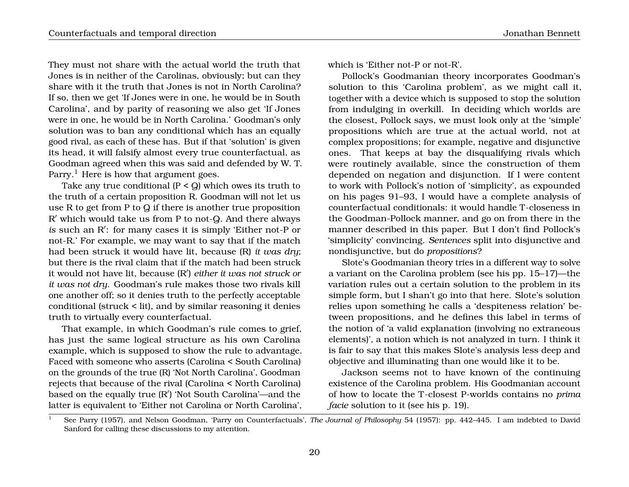They must not share with the actual world the truth that Jones is in neither of the Carolinas, obviously; but can they share with it the truth that Jones is not in North Carolina? If so, then we get 'If Jones were in one, he would be in South Carolina', and by parity of reasoning we also get 'If Jones were in one, he would be in North Carolina.' Goodman's only solution was to ban any conditional which has an equally good rival, as each of these has. But if that 'solution' is given its head, it will falsify almost every true counterfactual, as Goodman agreed when this was said and defended by W. T. Parry.<sup>1</sup> Here is how that argument goes.

Take any true conditional  $(P < Q)$  which owes its truth to the truth of a certain proposition R. Goodman will not let us use R to get from P to Q if there is another true proposition R' which would take us from P to not-Q. And there always is such an R': for many cases it is simply 'Either not-P or not-R.' For example, we may want to say that if the match had been struck it would have lit, because (R) *it was dry*; but there is the rival claim that if the match had been struck it would not have lit, because (R') *either it was not struck or it was not dry*. Goodman's rule makes those two rivals kill one another off; so it denies truth to the perfectly acceptable conditional (struck < lit), and by similar reasoning it denies truth to virtually every counterfactual.

That example, in which Goodman's rule comes to grief, has just the same logical structure as his own Carolina example, which is supposed to show the rule to advantage. Faced with someone who asserts (Carolina < South Carolina) on the grounds of the true (R) 'Not North Carolina', Goodman rejects that because of the rival (Carolina < North Carolina) based on the equally true (R') 'Not South Carolina'—and the latter is equivalent to 'Either not Carolina or North Carolina', which is 'Either not-P or not-R'.

Pollock's Goodmanian theory incorporates Goodman's solution to this 'Carolina problem', as we might call it, together with a device which is supposed to stop the solution from indulging in overkill. In deciding which worlds are the closest, Pollock says, we must look only at the 'simple' propositions which are true at the actual world, not at complex propositions; for example, negative and disjunctive ones. That keeps at bay the disqualifying rivals which were routinely available, since the construction of them depended on negation and disjunction. If I were content to work with Pollock's notion of 'simplicity', as expounded on his pages 91–93, I would have a complete analysis of counterfactual conditionals: it would handle T-closeness in the Goodman-Pollock manner, and go on from there in the manner described in this paper. But I don't find Pollock's 'simplicity' convincing. *Sentences* split into disjunctive and nondisjunctive, but do *propositions*?

Slote's Goodmanian theory tries in a different way to solve a variant on the Carolina problem (see his pp. 15–17)—the variation rules out a certain solution to the problem in its simple form, but I shan't go into that here. Slote's solution relies upon something he calls a 'despiteness relation' between propositions, and he defines this label in terms of the notion of 'a valid explanation (involving no extraneous elements)', a notion which is not analyzed in turn. I think it is fair to say that this makes Slote's analysis less deep and objective and illuminating than one would like it to be.

Jackson seems not to have known of the continuing existence of the Carolina problem. His Goodmanian account of how to locate the T-closest P-worlds contains no *prima facie* solution to it (see his p. 19).

<sup>1</sup> See Parry (1957), and Nelson Goodman, 'Parry on Counterfactuals', *The Journal of Philosophy* 54 (1957): pp. 442–445. I am indebted to David Sanford for calling these discussions to my attention.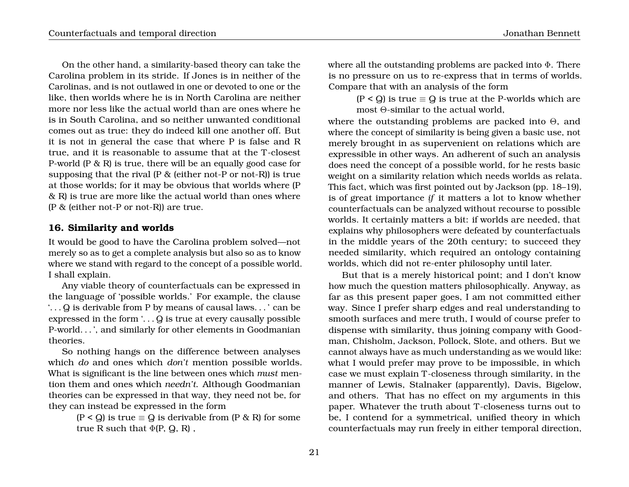On the other hand, a similarity-based theory can take the Carolina problem in its stride. If Jones is in neither of the Carolinas, and is not outlawed in one or devoted to one or the like, then worlds where he is in North Carolina are neither more nor less like the actual world than are ones where he is in South Carolina, and so neither unwanted conditional comes out as true: they do indeed kill one another off. But it is not in general the case that where P is false and R true, and it is reasonable to assume that at the T-closest P-world (P & R) is true, there will be an equally good case for supposing that the rival (P & (either not-P or not-R)) is true at those worlds; for it may be obvious that worlds where (P & R) is true are more like the actual world than ones where (P & (either not-P or not-R)) are true.

### **16. Similarity and worlds**

It would be good to have the Carolina problem solved—not merely so as to get a complete analysis but also so as to know where we stand with regard to the concept of a possible world. I shall explain.

Any viable theory of counterfactuals can be expressed in the language of 'possible worlds.' For example, the clause '. . . Q is derivable from P by means of causal laws. . . ' can be expressed in the form  $\ldots$  Q is true at every causally possible P-world. . . ', and similarly for other elements in Goodmanian theories.

So nothing hangs on the difference between analyses which *do* and ones which *don't* mention possible worlds. What is significant is the line between ones which *must* mention them and ones which *needn't*. Although Goodmanian theories can be expressed in that way, they need not be, for they can instead be expressed in the form

> (P < Q) is true  $\equiv$  Q is derivable from (P & R) for some true R such that  $\Phi(P, Q, R)$ .

where all the outstanding problems are packed into Φ. There is no pressure on us to re-express that in terms of worlds. Compare that with an analysis of the form

 $(P \le Q)$  is true  $\equiv Q$  is true at the P-worlds which are most Θ-similar to the actual world,

where the outstanding problems are packed into  $\Theta$ , and where the concept of similarity is being given a basic use, not merely brought in as supervenient on relations which are expressible in other ways. An adherent of such an analysis does need the concept of a possible world, for he rests basic weight on a similarity relation which needs worlds as relata. This fact, which was first pointed out by Jackson (pp. 18–19), is of great importance *if* it matters a lot to know whether counterfactuals can be analyzed without recourse to possible worlds. It certainly matters a bit: if worlds are needed, that explains why philosophers were defeated by counterfactuals in the middle years of the 20th century; to succeed they needed similarity, which required an ontology containing worlds, which did not re-enter philosophy until later.

But that is a merely historical point; and I don't know how much the question matters philosophically. Anyway, as far as this present paper goes, I am not committed either way. Since I prefer sharp edges and real understanding to smooth surfaces and mere truth, I would of course prefer to dispense with similarity, thus joining company with Goodman, Chisholm, Jackson, Pollock, Slote, and others. But we cannot always have as much understanding as we would like: what I would prefer may prove to be impossible, in which case we must explain T-closeness through similarity, in the manner of Lewis, Stalnaker (apparently), Davis, Bigelow, and others. That has no effect on my arguments in this paper. Whatever the truth about T-closeness turns out to be, I contend for a symmetrical, unified theory in which counterfactuals may run freely in either temporal direction,